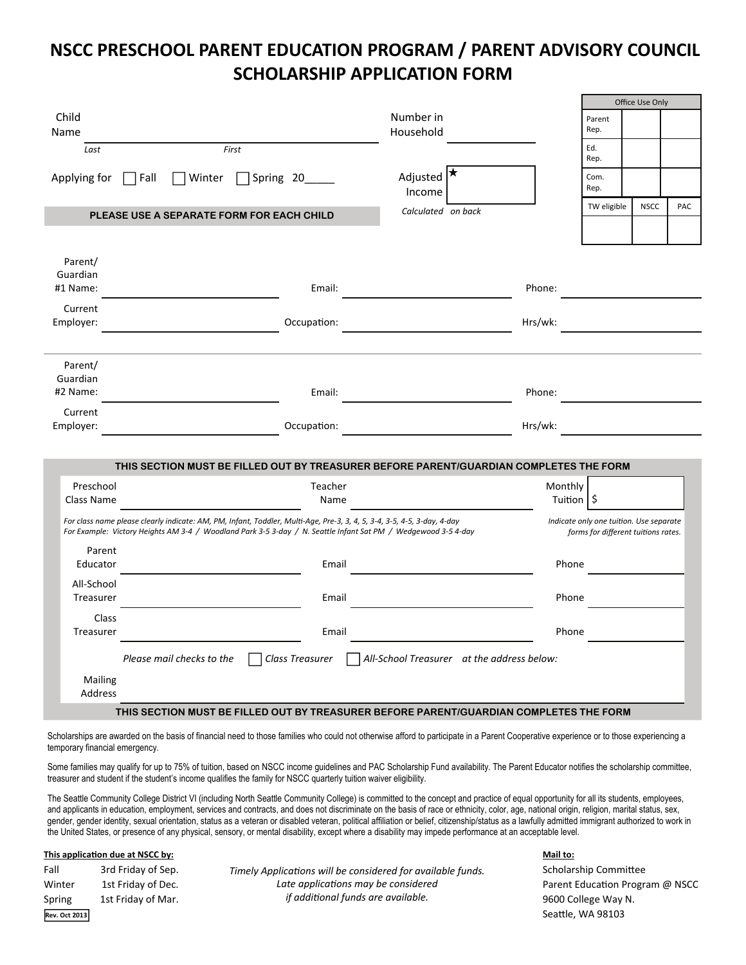## **NSCC PRESCHOOL PARENT EDUCATION PROGRAM / PARENT ADVISORY COUNCIL SCHOLARSHIP APPLICATION FORM**

| Child                   |                                                                                                                                                                                                                                           | Number in          |                                                   |              | Parent                                                                         | <b>Office Use Only</b> |     |
|-------------------------|-------------------------------------------------------------------------------------------------------------------------------------------------------------------------------------------------------------------------------------------|--------------------|---------------------------------------------------|--------------|--------------------------------------------------------------------------------|------------------------|-----|
| Name                    |                                                                                                                                                                                                                                           | Household          |                                                   |              | Rep.                                                                           |                        |     |
| Last                    | First                                                                                                                                                                                                                                     |                    |                                                   |              | Ed.<br>Rep.                                                                    |                        |     |
|                         | $ $ Fall                                                                                                                                                                                                                                  | Adjusted           |                                                   |              | Com.                                                                           |                        |     |
| Applying for            | $\Box$ Winter<br>Spring 20_____                                                                                                                                                                                                           | Income             |                                                   |              | Rep.                                                                           |                        |     |
|                         |                                                                                                                                                                                                                                           |                    |                                                   |              | TW eligible                                                                    | <b>NSCC</b>            | PAC |
|                         | PLEASE USE A SEPARATE FORM FOR EACH CHILD                                                                                                                                                                                                 | Calculated on back |                                                   |              |                                                                                |                        |     |
|                         |                                                                                                                                                                                                                                           |                    |                                                   |              |                                                                                |                        |     |
|                         |                                                                                                                                                                                                                                           |                    |                                                   |              |                                                                                |                        |     |
| Parent/                 |                                                                                                                                                                                                                                           |                    |                                                   |              |                                                                                |                        |     |
| Guardian<br>#1 Name:    | Email:                                                                                                                                                                                                                                    |                    |                                                   | Phone:       |                                                                                |                        |     |
|                         |                                                                                                                                                                                                                                           |                    |                                                   |              |                                                                                |                        |     |
| Current                 | Occupation:                                                                                                                                                                                                                               |                    |                                                   |              |                                                                                |                        |     |
| Employer:               |                                                                                                                                                                                                                                           |                    |                                                   | Hrs/wk:      |                                                                                |                        |     |
|                         |                                                                                                                                                                                                                                           |                    |                                                   |              |                                                                                |                        |     |
| Parent/                 |                                                                                                                                                                                                                                           |                    |                                                   |              |                                                                                |                        |     |
| Guardian                |                                                                                                                                                                                                                                           |                    |                                                   |              |                                                                                |                        |     |
| #2 Name:                | Email:                                                                                                                                                                                                                                    |                    |                                                   | Phone:       |                                                                                |                        |     |
| Current                 |                                                                                                                                                                                                                                           |                    |                                                   |              |                                                                                |                        |     |
| Employer:               | Occupation:                                                                                                                                                                                                                               |                    |                                                   | Hrs/wk:      |                                                                                |                        |     |
|                         |                                                                                                                                                                                                                                           |                    |                                                   |              |                                                                                |                        |     |
|                         | THIS SECTION MUST BE FILLED OUT BY TREASURER BEFORE PARENT/GUARDIAN COMPLETES THE FORM                                                                                                                                                    |                    |                                                   |              |                                                                                |                        |     |
| Preschool               | Teacher                                                                                                                                                                                                                                   |                    |                                                   | Monthly      |                                                                                |                        |     |
| Class Name              | Name                                                                                                                                                                                                                                      |                    |                                                   | Tuition   \$ |                                                                                |                        |     |
|                         |                                                                                                                                                                                                                                           |                    |                                                   |              |                                                                                |                        |     |
|                         | For class name please clearly indicate: AM, PM, Infant, Toddler, Multi-Age, Pre-3, 3, 4, 5, 3-4, 3-5, 4-5, 3-day, 4-day<br>For Example: Victory Heights AM 3-4 / Woodland Park 3-5 3-day / N. Seattle Infant Sat PM / Wedgewood 3-5 4-day |                    |                                                   |              | Indicate only one tuition. Use separate<br>forms for different tuitions rates. |                        |     |
| Parent                  |                                                                                                                                                                                                                                           |                    |                                                   |              |                                                                                |                        |     |
| Educator                | Email                                                                                                                                                                                                                                     |                    |                                                   | Phone        |                                                                                |                        |     |
|                         |                                                                                                                                                                                                                                           |                    |                                                   |              |                                                                                |                        |     |
| All-School<br>Treasurer | Email                                                                                                                                                                                                                                     |                    |                                                   | Phone        |                                                                                |                        |     |
|                         |                                                                                                                                                                                                                                           |                    |                                                   |              |                                                                                |                        |     |
| Class<br>Treasurer      | Email                                                                                                                                                                                                                                     |                    |                                                   | Phone        |                                                                                |                        |     |
|                         |                                                                                                                                                                                                                                           |                    |                                                   |              |                                                                                |                        |     |
|                         | Class Treasurer<br>Please mail checks to the                                                                                                                                                                                              |                    | $\Box$ All-School Treasurer at the address below: |              |                                                                                |                        |     |
| Mailing                 |                                                                                                                                                                                                                                           |                    |                                                   |              |                                                                                |                        |     |
| Address                 |                                                                                                                                                                                                                                           |                    |                                                   |              |                                                                                |                        |     |
|                         |                                                                                                                                                                                                                                           |                    |                                                   |              |                                                                                |                        |     |
|                         | THIS SECTION MUST BE FILLED OUT BY TREASURER BEFORE PARENT/GUARDIAN COMPLETES THE FORM                                                                                                                                                    |                    |                                                   |              |                                                                                |                        |     |

Scholarships are awarded on the basis of financial need to those families who could not otherwise afford to participate in a Parent Cooperative experience or to those experiencing a temporary financial emergency.

Some families may qualify for up to 75% of tuition, based on NSCC income guidelines and PAC Scholarship Fund availability. The Parent Educator notifies the scholarship committee, treasurer and student if the student's income qualifies the family for NSCC quarterly tuition waiver eligibility.

The Seattle Community College District VI (including North Seattle Community College) is committed to the concept and practice of equal opportunity for all its students, employees, and applicants in education, employment, services and contracts, and does not discriminate on the basis of race or ethnicity, color, age, national origin, religion, marital status, sex, gender, gender identity, sexual orientation, status as a veteran or disabled veteran, political affiliation or belief, citizenship/status as a lawfully admitted immigrant authorized to work in the United States, or presence of any physical, sensory, or mental disability, except where a disability may impede performance at an acceptable level.

## **This applicaƟon due at NSCC by:**

**Rev. Oct 2013**

Fall 3rd Friday of Sep. Timely Applications will be considered for available funds. Scholarship Committee **Winter** 1st Friday of Dec. **Parameter Constant Constant Program and Program @ NSCC** *Late* **applications** *may be considered* **<b>***Parent Education Program @ NSCC* Spring 1st Friday of Mar. 9600 College Way N. *if addiƟonal funds are available.*

## **Mail to:**

Seattle, WA 98103

 $\overline{O(f)}$  Use  $\overline{O(f)}$